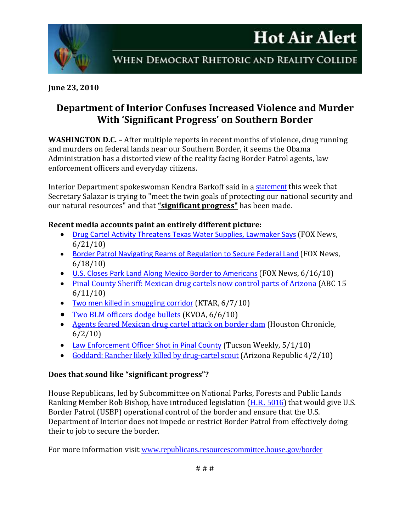



### **June 23, 2010**

# **Department of Interior Confuses Increased Violence and Murder With 'Significant Progress' on Southern Border**

**WASHINGTON D.C. –** After multiple reports in recent months of violence, drug running and murders on federal lands near our Southern Border, it seems the Obama Administration has a distorted view of the reality facing Border Patrol agents, law enforcement officers and everyday citizens.

Interior Department spokeswoman Kendra Barkoff said in a [statement](http://www.foxnews.com/politics/2010/06/21/republicans-interior-stop-charging-millions-border-patrol/) this week that Secretary Salazar is trying to "meet the twin goals of protecting our national security and our natural resources" and that **"significant progress"** has been made.

#### **Recent media accounts paint an entirely different picture:**

- [Drug Cartel Activity Threatens Texas Water Supplies, Lawmaker Says](http://www.foxnews.com/politics/2010/06/21/drug-cartel-activity-threatens-texas-water-supplies-lawmaker-says/) (FOX News, 6/21/10)
- [Border Patrol Navigating Reams of Regulation to Secure Federal Land](http://www.foxnews.com/politics/2010/06/18/border-patrol-navigating-reams-regulation-secure-federal-land/) (FOX News, 6/18/10)
- [U.S. Closes Park Land Along Mexico Border to Americans](http://www.foxnews.com/us/2010/06/16/closes-park-land-mexico-border-americans/) (FOX News, 6/16/10)
- [Pinal County Sheriff: Mexican drug cartels now control parts of Arizona](http://www.abc15.com/dpp/news/region_central_southern_az/other/mexican-drug-cartels-now-control-parts-of-arizona) (ABC 15 6/11/10)
- [Two men killed in smuggling corridor](http://ktar.com/?nid=6&sid=1302118) (KTAR, 6/7/10)
- [Two BLM officers dodge bullets](http://www.kvoa.com/news/two-blm-officers-dodge-bullets/) (KVOA, 6/6/10)
- [Agents feared Mexican drug cartel attack on border dam](http://www.chron.com/disp/story.mpl/metropolitan/7033818.html) (Houston Chronicle, 6/2/10)
- [Law Enforcement Officer Shot in Pinal County](http://www.tucsonweekly.com/TheRange/archives/2010/05/01/law-enforcement-officer-shot-in-pinal-county) (Tucson Weekly, 5/1/10)
- [Goddard: Rancher likely killed by drug-cartel scout](http://www.azcentral.com/12news/news/articles/2010/04/02/20100402arizona-rancher-likely-killed-by-drug-cartel-scout02-ON-CP.html) (Arizona Republic 4/2/10)

## **Does that sound like "significant progress"?**

House Republicans, led by Subcommittee on National Parks, Forests and Public Lands Ranking Member Rob Bishop, have introduced legislation ([H.R. 5016](http://frwebgate.access.gpo.gov/cgi-bin/getdoc.cgi?dbname=111_cong_bills&docid=f:h5016ih.txt.pdf)) that would give U.S. Border Patrol (USBP) operational control of the border and ensure that the U.S. Department of Interior does not impede or restrict Border Patrol from effectively doing their to job to secure the border.

For more information visit [www.republicans.resourcescommittee.house.gov/border](http://www.republicans.resourcescommittee.house.gov/border)